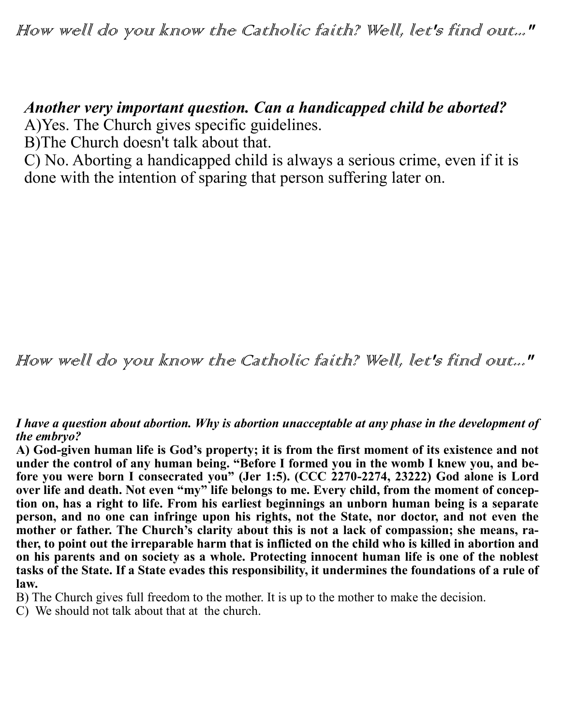## *Another very important question. Can a handicapped child be aborted?*

A)Yes. The Church gives specific guidelines.

B)The Church doesn't talk about that.

C) No. Aborting a handicapped child is always a serious crime, even if it is done with the intention of sparing that person suffering later on.

How well do you know the Catholic faith? Well, let's find out..."

*I have a question about abortion. Why is abortion unacceptable at any phase in the development of the embryo?*

**A) God-given human life is God's property; it is from the first moment of its existence and not under the control of any human being. "Before I formed you in the womb I knew you, and before you were born I consecrated you" (Jer 1:5). (CCC 2270-2274, 23222) God alone is Lord over life and death. Not even "my" life belongs to me. Every child, from the moment of conception on, has a right to life. From his earliest beginnings an unborn human being is a separate**  person, and no one can infringe upon his rights, not the State, nor doctor, and not even the **mother or father. The Church's clarity about this is not a lack of compassion; she means, rather, to point out the irreparable harm that is inflicted on the child who is killed in abortion and on his parents and on society as a whole. Protecting innocent human life is one of the noblest tasks of the State. If a State evades this responsibility, it undermines the foundations of a rule of law.** 

B) The Church gives full freedom to the mother. It is up to the mother to make the decision.

C) We should not talk about that at the church.